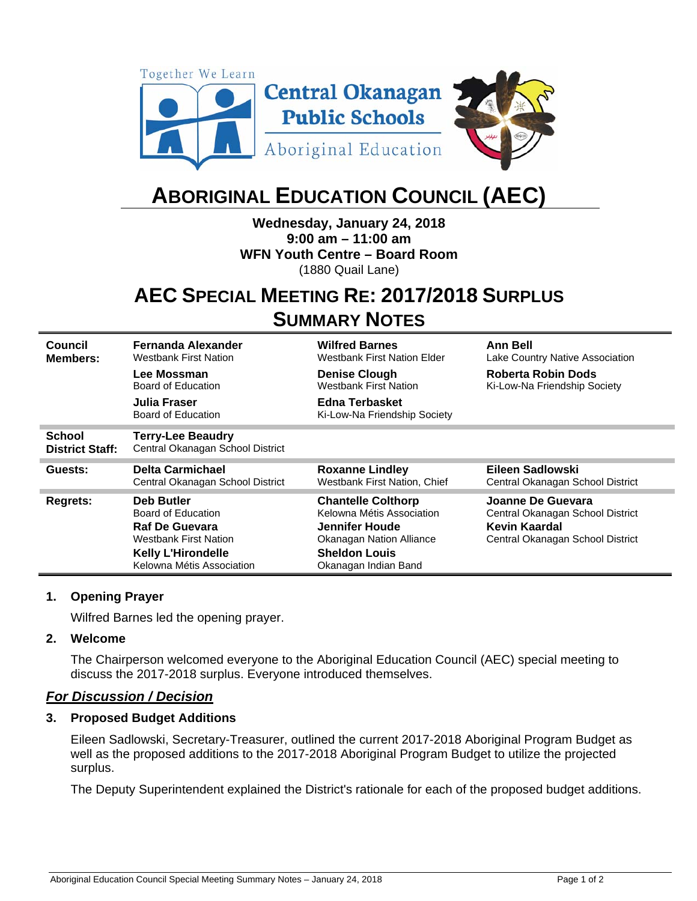

# **ABORIGINAL EDUCATION COUNCIL (AEC)**

**Wednesday, January 24, 2018 9:00 am – 11:00 am WFN Youth Centre – Board Room**  (1880 Quail Lane)

# **AEC SPECIAL MEETING RE: 2017/2018 SURPLUS SUMMARY NOTES**

**Council Members: Fernanda Alexander**  Westbank First Nation **Wilfred Barnes**  Westbank First Nation Elder **Ann Bell**  Lake Country Native Association **Lee Mossman**  Board of Education **Denise Clough**  Westbank First Nation **Roberta Robin Dods**  Ki-Low-Na Friendship Society **Julia Fraser**  Board of Education **Edna Terbasket** Ki-Low-Na Friendship Society **School District Staff: Terry-Lee Beaudry**  Central Okanagan School District **Guests: Delta Carmichael**  Central Okanagan School District **Roxanne Lindley**  Westbank First Nation, Chief **Eileen Sadlowski**  Central Okanagan School District **Regrets: Deb Butler**  Board of Education **Chantelle Colthorp**  Kelowna Métis Association **Joanne De Guevara**  Central Okanagan School District **Raf De Guevara** Westbank First Nation **Jennifer Houde**  Okanagan Nation Alliance **Kevin Kaardal**  Central Okanagan School District **Kelly L'Hirondelle**  Kelowna Métis Association **Sheldon Louis**  Okanagan Indian Band

#### **1. Opening Prayer**

Wilfred Barnes led the opening prayer.

#### **2. Welcome**

The Chairperson welcomed everyone to the Aboriginal Education Council (AEC) special meeting to discuss the 2017-2018 surplus. Everyone introduced themselves.

#### *For Discussion / Decision*

#### **3. Proposed Budget Additions**

Eileen Sadlowski, Secretary-Treasurer, outlined the current 2017-2018 Aboriginal Program Budget as well as the proposed additions to the 2017-2018 Aboriginal Program Budget to utilize the projected surplus.

The Deputy Superintendent explained the District's rationale for each of the proposed budget additions.